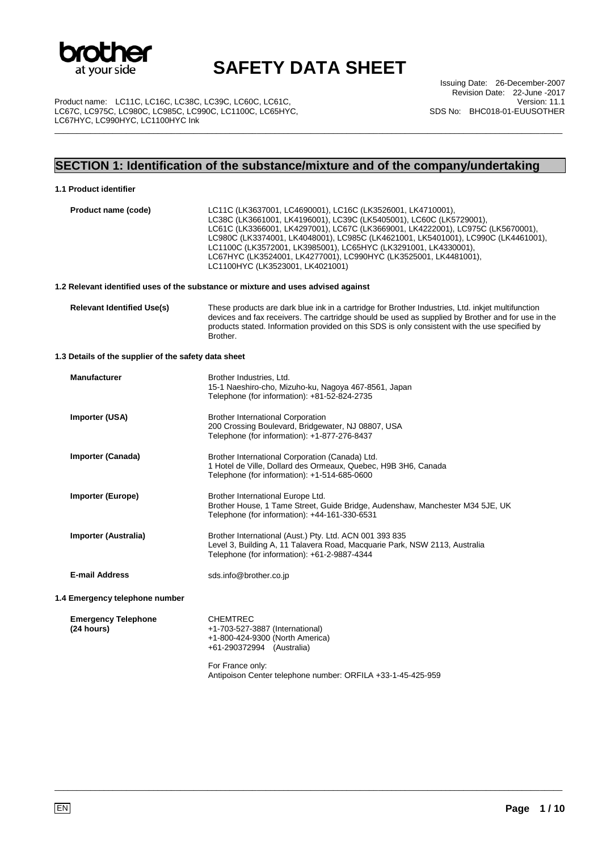

\_\_\_\_\_\_\_\_\_\_\_\_\_\_\_\_\_\_\_\_\_\_\_\_\_\_\_\_\_\_\_\_\_\_\_\_\_\_\_\_\_\_\_\_\_\_\_\_\_\_\_\_\_\_\_\_\_\_\_\_\_\_\_\_\_\_\_\_\_\_\_\_\_\_\_\_\_\_\_\_\_\_\_\_\_\_\_\_\_\_\_\_\_\_\_\_\_\_\_\_\_\_\_\_\_\_\_\_\_\_\_\_\_

Product name: LC11C, LC16C, LC38C, LC39C, LC60C, LC61C, LC67C, LC975C, LC980C, LC985C, LC990C, LC1100C, LC65HYC, LC67HYC, LC990HYC, LC1100HYC Ink

Issuing Date: 26-December-2007 Revision Date: 22-June -2017 Version: 11.1 SDS No: BHC018-01-EUUSOTHER

## **SECTION 1: Identification of the substance/mixture and of the company/undertaking**

#### **1.1 Product identifier**

| Product name (code)                                  | LC11C (LK3637001, LC4690001), LC16C (LK3526001, LK4710001),<br>LC38C (LK3661001, LK4196001), LC39C (LK5405001), LC60C (LK5729001),<br>LC61C (LK3366001, LK4297001), LC67C (LK3669001, LK4222001), LC975C (LK5670001),<br>LC980C (LK3374001, LK4048001), LC985C (LK4621001, LK5401001), LC990C (LK4461001),<br>LC1100C (LK3572001, LK3985001), LC65HYC (LK3291001, LK4330001),<br>LC67HYC (LK3524001, LK4277001), LC990HYC (LK3525001, LK4481001),<br>LC1100HYC (LK3523001, LK4021001) |
|------------------------------------------------------|---------------------------------------------------------------------------------------------------------------------------------------------------------------------------------------------------------------------------------------------------------------------------------------------------------------------------------------------------------------------------------------------------------------------------------------------------------------------------------------|
|                                                      | 1.2 Relevant identified uses of the substance or mixture and uses advised against                                                                                                                                                                                                                                                                                                                                                                                                     |
| <b>Relevant Identified Use(s)</b>                    | These products are dark blue ink in a cartridge for Brother Industries, Ltd. inkjet multifunction<br>devices and fax receivers. The cartridge should be used as supplied by Brother and for use in the<br>products stated. Information provided on this SDS is only consistent with the use specified by<br>Brother.                                                                                                                                                                  |
| 1.3 Details of the supplier of the safety data sheet |                                                                                                                                                                                                                                                                                                                                                                                                                                                                                       |
| <b>Manufacturer</b>                                  | Brother Industries, Ltd.<br>15-1 Naeshiro-cho, Mizuho-ku, Nagoya 467-8561, Japan<br>Telephone (for information): +81-52-824-2735                                                                                                                                                                                                                                                                                                                                                      |
| Importer (USA)                                       | <b>Brother International Corporation</b><br>200 Crossing Boulevard, Bridgewater, NJ 08807, USA<br>Telephone (for information): +1-877-276-8437                                                                                                                                                                                                                                                                                                                                        |
| <b>Importer (Canada)</b>                             | Brother International Corporation (Canada) Ltd.<br>1 Hotel de Ville, Dollard des Ormeaux, Quebec, H9B 3H6, Canada<br>Telephone (for information): +1-514-685-0600                                                                                                                                                                                                                                                                                                                     |
| <b>Importer (Europe)</b>                             | Brother International Europe Ltd.<br>Brother House, 1 Tame Street, Guide Bridge, Audenshaw, Manchester M34 5JE, UK<br>Telephone (for information): +44-161-330-6531                                                                                                                                                                                                                                                                                                                   |
| Importer (Australia)                                 | Brother International (Aust.) Pty. Ltd. ACN 001 393 835<br>Level 3, Building A, 11 Talavera Road, Macquarie Park, NSW 2113, Australia                                                                                                                                                                                                                                                                                                                                                 |

Telephone (for information): +61-2-9887-4344

**E-mail Address** sds.info@brother.co.jp

**1.4 Emergency telephone number** 

**Emergency Telephone (24 hours)**  CHEMTREC +1-703-527-3887 (International) +1-800-424-9300 (North America) +61-290372994 (Australia)

> For France only: Antipoison Center telephone number: ORFILA +33-1-45-425-959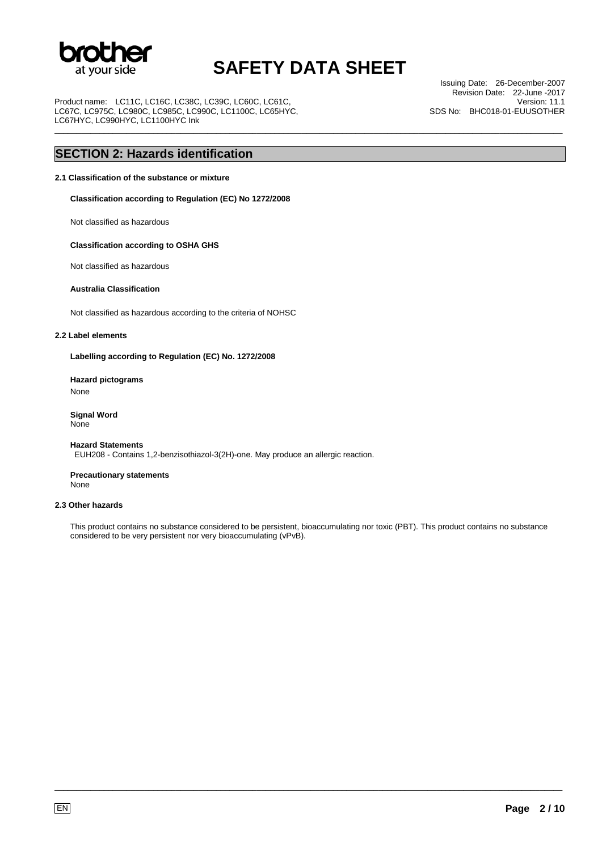

\_\_\_\_\_\_\_\_\_\_\_\_\_\_\_\_\_\_\_\_\_\_\_\_\_\_\_\_\_\_\_\_\_\_\_\_\_\_\_\_\_\_\_\_\_\_\_\_\_\_\_\_\_\_\_\_\_\_\_\_\_\_\_\_\_\_\_\_\_\_\_\_\_\_\_\_\_\_\_\_\_\_\_\_\_\_\_\_\_\_\_\_\_\_\_\_\_\_\_\_\_\_\_\_\_\_\_\_\_\_\_\_\_

Product name: LC11C, LC16C, LC38C, LC39C, LC60C, LC61C, LC67C, LC975C, LC980C, LC985C, LC990C, LC1100C, LC65HYC, LC67HYC, LC990HYC, LC1100HYC Ink

Issuing Date: 26-December-2007 Revision Date: 22-June -2017 Version: 11.1 SDS No: BHC018-01-EUUSOTHER

### **SECTION 2: Hazards identification**

#### **2.1 Classification of the substance or mixture**

**Classification according to Regulation (EC) No 1272/2008** 

Not classified as hazardous

#### **Classification according to OSHA GHS**

Not classified as hazardous

#### **Australia Classification**

Not classified as hazardous according to the criteria of NOHSC

#### **2.2 Label elements**

**Labelling according to Regulation (EC) No. 1272/2008** 

**Hazard pictograms**  None

**Signal Word** None

#### **Hazard Statements** EUH208 - Contains 1,2-benzisothiazol-3(2H)-one. May produce an allergic reaction.

**Precautionary statements** None

#### **2.3 Other hazards**

This product contains no substance considered to be persistent, bioaccumulating nor toxic (PBT). This product contains no substance considered to be very persistent nor very bioaccumulating (vPvB).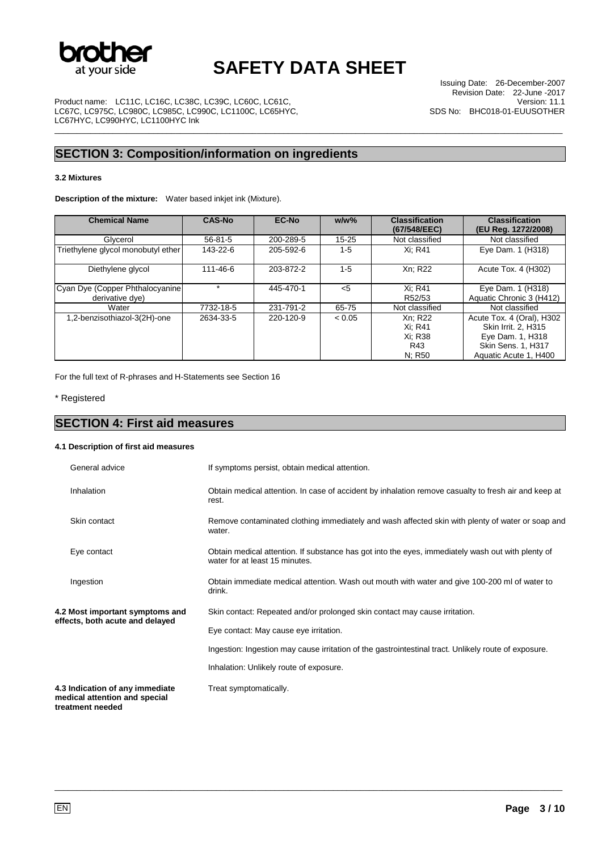

\_\_\_\_\_\_\_\_\_\_\_\_\_\_\_\_\_\_\_\_\_\_\_\_\_\_\_\_\_\_\_\_\_\_\_\_\_\_\_\_\_\_\_\_\_\_\_\_\_\_\_\_\_\_\_\_\_\_\_\_\_\_\_\_\_\_\_\_\_\_\_\_\_\_\_\_\_\_\_\_\_\_\_\_\_\_\_\_\_\_\_\_\_\_\_\_\_\_\_\_\_\_\_\_\_\_\_\_\_\_\_\_\_

Product name: LC11C, LC16C, LC38C, LC39C, LC60C, LC61C, LC67C, LC975C, LC980C, LC985C, LC990C, LC1100C, LC65HYC, LC67HYC, LC990HYC, LC1100HYC Ink

## **SECTION 3: Composition/information on ingredients**

#### **3.2 Mixtures**

**Description of the mixture:** Water based inkjet ink (Mixture).

| <b>Chemical Name</b>               | <b>CAS-No</b> | <b>EC-No</b> | $w/w$ %   | <b>Classification</b><br>(67/548/EEC) | <b>Classification</b><br>(EU Reg. 1272/2008) |
|------------------------------------|---------------|--------------|-----------|---------------------------------------|----------------------------------------------|
| Glycerol                           | $56 - 81 - 5$ | 200-289-5    | $15 - 25$ | Not classified                        | Not classified                               |
| Triethylene glycol monobutyl ether | 143-22-6      | 205-592-6    | $1-5$     | Xi: R41                               | Eye Dam. 1 (H318)                            |
| Diethylene glycol                  | 111-46-6      | 203-872-2    | $1 - 5$   | Xn: R22                               | Acute Tox. 4 (H302)                          |
| Cyan Dye (Copper Phthalocyanine)   |               | 445-470-1    | $<$ 5     | Xi: R41                               | Eye Dam. 1 (H318)                            |
| derivative dye)                    |               |              |           | R52/53                                | Aquatic Chronic 3 (H412)                     |
| Water                              | 7732-18-5     | 231-791-2    | 65-75     | Not classified                        | Not classified                               |
| 1,2-benzisothiazol-3(2H)-one       | 2634-33-5     | 220-120-9    | < 0.05    | Xn: R22                               | Acute Tox. 4 (Oral), H302                    |
|                                    |               |              |           | Xi: R41                               | Skin Irrit. 2. H315                          |
|                                    |               |              |           | Xi: R38                               | Eye Dam. 1, H318                             |
|                                    |               |              |           | R43                                   | Skin Sens. 1, H317                           |
|                                    |               |              |           | N; R50                                | Aquatic Acute 1, H400                        |

For the full text of R-phrases and H-Statements see Section 16

\* Registered

## **SECTION 4: First aid measures**

#### **4.1 Description of first aid measures**

| General advice                                                                       | If symptoms persist, obtain medical attention.                                                                                      |
|--------------------------------------------------------------------------------------|-------------------------------------------------------------------------------------------------------------------------------------|
| Inhalation                                                                           | Obtain medical attention. In case of accident by inhalation remove casualty to fresh air and keep at<br>rest.                       |
| Skin contact                                                                         | Remove contaminated clothing immediately and wash affected skin with plenty of water or soap and<br>water.                          |
| Eye contact                                                                          | Obtain medical attention. If substance has got into the eyes, immediately wash out with plenty of<br>water for at least 15 minutes. |
| Ingestion                                                                            | Obtain immediate medical attention. Wash out mouth with water and give 100-200 ml of water to<br>drink.                             |
| 4.2 Most important symptoms and                                                      | Skin contact: Repeated and/or prolonged skin contact may cause irritation.                                                          |
| effects, both acute and delayed                                                      | Eye contact: May cause eye irritation.                                                                                              |
|                                                                                      | Ingestion: Ingestion may cause irritation of the gastrointestinal tract. Unlikely route of exposure.                                |
|                                                                                      | Inhalation: Unlikely route of exposure.                                                                                             |
| 4.3 Indication of any immediate<br>medical attention and special<br>treatment needed | Treat symptomatically.                                                                                                              |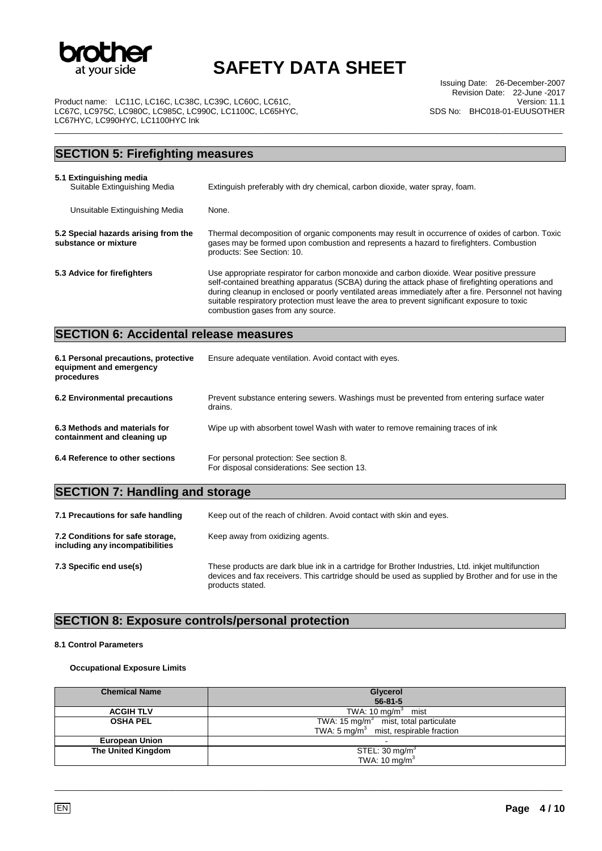

\_\_\_\_\_\_\_\_\_\_\_\_\_\_\_\_\_\_\_\_\_\_\_\_\_\_\_\_\_\_\_\_\_\_\_\_\_\_\_\_\_\_\_\_\_\_\_\_\_\_\_\_\_\_\_\_\_\_\_\_\_\_\_\_\_\_\_\_\_\_\_\_\_\_\_\_\_\_\_\_\_\_\_\_\_\_\_\_\_\_\_\_\_\_\_\_\_\_\_\_\_\_\_\_\_\_\_\_\_\_\_\_\_

Issuing Date: 26-December-2007 Revision Date: 22-June -2017 Version: 11.1 SDS No: BHC018-01-EUUSOTHER

Product name: LC11C, LC16C, LC38C, LC39C, LC60C, LC61C LC67C, LC975C, LC980C, LC985C, LC990C, LC1100C, LC65HYC, LC67HYC, LC990HYC, LC1100HYC Ink

### **SECTION 5: Firefighting measures 5.1 Extinguishing media**  Extinguish preferably with dry chemical, carbon dioxide, water spray, foam. Unsuitable Extinguishing Media None. **5.2 Special hazards arising from the substance or mixture**  Thermal decomposition of organic components may result in occurrence of oxides of carbon. Toxic gases may be formed upon combustion and represents a hazard to firefighters. Combustion products: See Section: 10. **5.3 Advice for firefighters** Use appropriate respirator for carbon monoxide and carbon dioxide. Wear positive pressure self-contained breathing apparatus (SCBA) during the attack phase of firefighting operations and during cleanup in enclosed or poorly ventilated areas immediately after a fire. Personnel not having suitable respiratory protection must leave the area to prevent significant exposure to toxic combustion gases from any source. **SECTION 6: Accidental release measures 6.1 Personal precautions, protective equipment and emergency procedures**  Ensure adequate ventilation. Avoid contact with eyes. **6.2 Environmental precautions** Prevent substance entering sewers. Washings must be prevented from entering surface water drains. **6.3 Methods and materials for containment and cleaning up**  Wipe up with absorbent towel Wash with water to remove remaining traces of ink **6.4 Reference to other sections** For personal protection: See section 8.

| ererence to otner sections | For personal protection: See section 8.      |
|----------------------------|----------------------------------------------|
|                            | For disposal considerations: See section 13. |

## **SECTION 7: Handling and storage**

| 7.1 Precautions for safe handling                                   | Keep out of the reach of children. Avoid contact with skin and eyes.                                                                                                                                                        |
|---------------------------------------------------------------------|-----------------------------------------------------------------------------------------------------------------------------------------------------------------------------------------------------------------------------|
| 7.2 Conditions for safe storage,<br>including any incompatibilities | Keep away from oxidizing agents.                                                                                                                                                                                            |
| 7.3 Specific end use(s)                                             | These products are dark blue ink in a cartridge for Brother Industries, Ltd. inkjet multifunction<br>devices and fax receivers. This cartridge should be used as supplied by Brother and for use in the<br>products stated. |

## **SECTION 8: Exposure controls/personal protection**

#### **8.1 Control Parameters**

#### **Occupational Exposure Limits**

| <b>Chemical Name</b>  | Glycerol<br>$56 - 81 - 5$                                                                     |
|-----------------------|-----------------------------------------------------------------------------------------------|
| <b>ACGIH TLV</b>      | TWA: $10 \text{ mg/m}^3$ mist                                                                 |
| <b>OSHA PEL</b>       | TWA: 15 mg/m $3$ mist, total particulate<br>TWA: $5 \text{ mg/m}^3$ mist, respirable fraction |
| <b>European Union</b> |                                                                                               |
| The United Kingdom    | STEL: $30 \text{ mg/m}^3$                                                                     |
|                       | TWA: $10 \text{ mg/m}^3$                                                                      |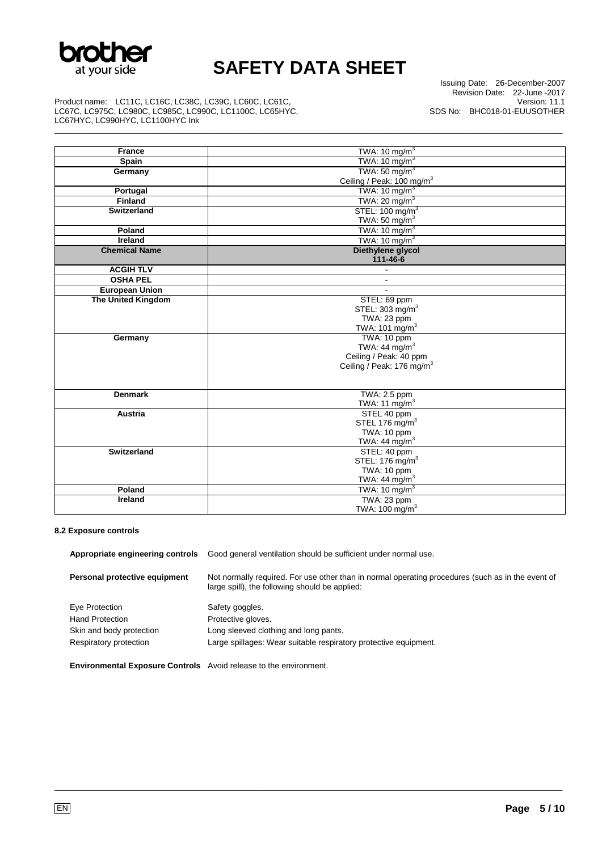

\_\_\_\_\_\_\_\_\_\_\_\_\_\_\_\_\_\_\_\_\_\_\_\_\_\_\_\_\_\_\_\_\_\_\_\_\_\_\_\_\_\_\_\_\_\_\_\_\_\_\_\_\_\_\_\_\_\_\_\_\_\_\_\_\_\_\_\_\_\_\_\_\_\_\_\_\_\_\_\_\_\_\_\_\_\_\_\_\_\_\_\_\_\_\_\_\_\_\_\_\_\_\_\_\_\_\_\_\_\_\_\_\_

Issuing Date: 26-December-2007 Revision Date: 22-June -2017 Version: 11.1 SDS No: BHC018-01-EUUSOTHER

Product name: LC11C, LC16C, LC38C, LC39C, LC60C, LC61C, LC67C, LC975C, LC980C, LC985C, LC990C, LC1100C, LC65HYC, LC67HYC, LC990HYC, LC1100HYC Ink

| <b>France</b>             | TWA: $10 \text{ mg/m}^3$              |
|---------------------------|---------------------------------------|
| <b>Spain</b>              | TWA: $10 \text{ mg/m}^3$              |
| Germany                   | TWA: $50 \text{ mg/m}^3$              |
|                           | Ceiling / Peak: 100 mg/m <sup>3</sup> |
| Portugal                  | TWA: $10 \text{ mg/m}^3$              |
| <b>Finland</b>            | TWA: $20 \text{ mg/m}^3$              |
| <b>Switzerland</b>        | STEL: 100 mg/m <sup>3</sup>           |
|                           | TWA: 50 mg/ $m3$                      |
| Poland                    | TWA: $10 \text{ mg/m}^3$              |
| Ireland                   | TWA: $10 \text{ mg/m}^3$              |
| <b>Chemical Name</b>      | Diethylene glycol                     |
|                           | 111-46-6                              |
| <b>ACGIH TLV</b>          |                                       |
| <b>OSHA PEL</b>           | $\blacksquare$                        |
| <b>European Union</b>     | $\mathbf{r}$                          |
| <b>The United Kingdom</b> | STEL: 69 ppm                          |
|                           | STEL: 303 mg/m <sup>3</sup>           |
|                           | TWA: 23 ppm                           |
|                           | TWA: 101 mg/m <sup>3</sup>            |
| Germany                   | TWA: 10 ppm                           |
|                           | TWA: 44 mg/m <sup>3</sup>             |
|                           | Ceiling / Peak: 40 ppm                |
|                           | Ceiling / Peak: 176 mg/m <sup>3</sup> |
|                           |                                       |
| <b>Denmark</b>            | TWA: 2.5 ppm                          |
|                           | TWA: 11 $mg/m3$                       |
| Austria                   | STEL 40 ppm                           |
|                           | STEL 176 mg/m <sup>3</sup>            |
|                           | TWA: 10 ppm                           |
|                           | TWA: $44 \text{ mg/m}^3$              |
| <b>Switzerland</b>        | STEL: 40 ppm                          |
|                           | STEL: 176 mg/m <sup>3</sup>           |
|                           | TWA: 10 ppm                           |
|                           | TWA: 44 mg/m $3$                      |
| Poland                    | TWA: $10 \text{ mg/m}^3$              |
| Ireland                   | TWA: 23 ppm                           |
|                           | TWA: 100 mg/m <sup>3</sup>            |

#### **8.2 Exposure controls**

| Appropriate engineering controls                                         | Good general ventilation should be sufficient under normal use.                                                                                     |  |
|--------------------------------------------------------------------------|-----------------------------------------------------------------------------------------------------------------------------------------------------|--|
| Personal protective equipment                                            | Not normally required. For use other than in normal operating procedures (such as in the event of<br>large spill), the following should be applied: |  |
| Eye Protection                                                           | Safety goggles.                                                                                                                                     |  |
| <b>Hand Protection</b>                                                   | Protective gloves.                                                                                                                                  |  |
| Skin and body protection                                                 | Long sleeved clothing and long pants.                                                                                                               |  |
| Respiratory protection                                                   | Large spillages: Wear suitable respiratory protective equipment.                                                                                    |  |
| <b>Environmental Exposure Controls</b> Avoid release to the environment. |                                                                                                                                                     |  |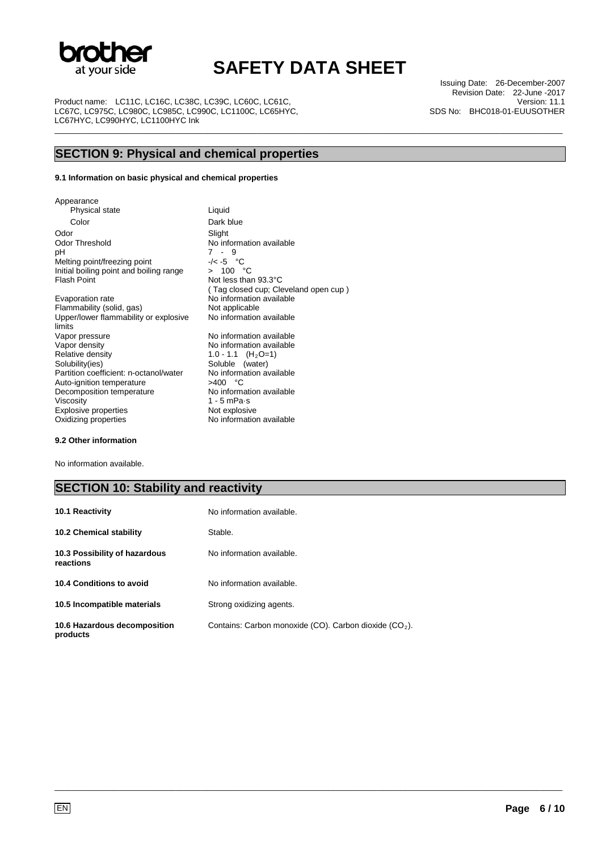

\_\_\_\_\_\_\_\_\_\_\_\_\_\_\_\_\_\_\_\_\_\_\_\_\_\_\_\_\_\_\_\_\_\_\_\_\_\_\_\_\_\_\_\_\_\_\_\_\_\_\_\_\_\_\_\_\_\_\_\_\_\_\_\_\_\_\_\_\_\_\_\_\_\_\_\_\_\_\_\_\_\_\_\_\_\_\_\_\_\_\_\_\_\_\_\_\_\_\_\_\_\_\_\_\_\_\_\_\_\_\_\_\_

Product name: LC11C, LC16C, LC38C, LC39C, LC60C, LC61C, LC67C, LC975C, LC980C, LC985C, LC990C, LC1100C, LC65HYC, LC67HYC, LC990HYC, LC1100HYC Ink

Issuing Date: 26-December-2007 Revision Date: 22-June -2017 Version: 11.1 SDS No: BHC018-01-EUUSOTHER

## **SECTION 9: Physical and chemical properties**

#### **9.1 Information on basic physical and chemical properties**

Appearance Physical state Liquid Color Dark blue Odor Slight Odor Threshold No information available<br>pH 7 - 9 Melting point/freezing point  $-/-5$  °C<br>Initial boiling point and boiling range  $> 100$  °C Initial boiling point and boiling range<br>Flash Point Evaporation rate **No information available**<br>
Flammability (solid, gas) **Not** applicable Flammability (solid, gas) Upper/lower flammability or explosive limits<br>Vapor pressure Vapor pressure **No information available**<br>
Vapor density **No information available** 

Vapor density  $V$ apor density  $V = NQ - 1.1$  (H<sub>2</sub>O=1) Relative density 1.0 - 1.1 (H<sub>2</sub>O=1)<br>Solubility(ies) Soluble (water) Partition coefficient: n-octanol/water No information coefficient: n-octanol/water No information and Nutubellable Auto-ignition temperature  $>400$  °C<br>Decomposition temperature No information available Decomposition temperature Viscosity 1 - 5 mPa·s<br>Explosive properties Not explosive Explosive properties<br>Oxidizing properties

 $7 - 9$ <br> $\sqrt{5} - 5$  °C Not less than 93.3°C ( Tag closed cup; Cleveland open cup ) No information available Soluble (water)<br>No information available No information available

#### **9.2 Other information**

No information available.

### **SECTION 10: Stability and reactivity**

| <b>10.1 Reactivity</b>                     | No information available.                                |
|--------------------------------------------|----------------------------------------------------------|
| <b>10.2 Chemical stability</b>             | Stable.                                                  |
| 10.3 Possibility of hazardous<br>reactions | No information available.                                |
| 10.4 Conditions to avoid                   | No information available.                                |
| 10.5 Incompatible materials                | Strong oxidizing agents.                                 |
| 10.6 Hazardous decomposition<br>products   | Contains: Carbon monoxide (CO). Carbon dioxide $(CO2)$ . |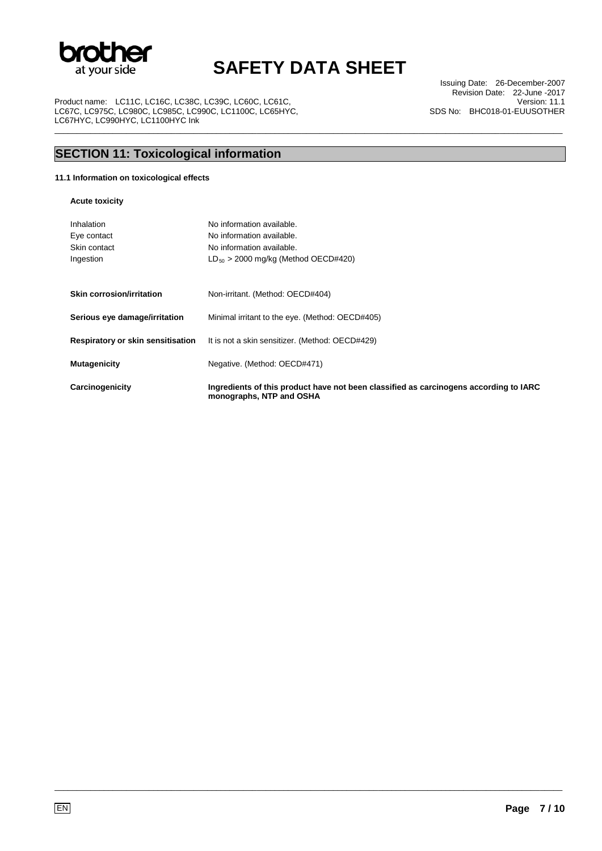

\_\_\_\_\_\_\_\_\_\_\_\_\_\_\_\_\_\_\_\_\_\_\_\_\_\_\_\_\_\_\_\_\_\_\_\_\_\_\_\_\_\_\_\_\_\_\_\_\_\_\_\_\_\_\_\_\_\_\_\_\_\_\_\_\_\_\_\_\_\_\_\_\_\_\_\_\_\_\_\_\_\_\_\_\_\_\_\_\_\_\_\_\_\_\_\_\_\_\_\_\_\_\_\_\_\_\_\_\_\_\_\_\_

Product name: LC11C, LC16C, LC38C, LC39C, LC60C, LC61C, LC67C, LC975C, LC980C, LC985C, LC990C, LC1100C, LC65HYC, LC67HYC, LC990HYC, LC1100HYC Ink

Issuing Date: 26-December-2007 Revision Date: 22-June -2017 Version: 11.1 SDS No: BHC018-01-EUUSOTHER

## **SECTION 11: Toxicological information**

#### **11.1 Information on toxicological effects**

**Acute toxicity** 

| Inhalation<br>Eye contact<br>Skin contact<br>Ingestion | No information available.<br>No information available.<br>No information available.<br>$LD_{50} > 2000$ mg/kg (Method OECD#420) |  |
|--------------------------------------------------------|---------------------------------------------------------------------------------------------------------------------------------|--|
| <b>Skin corrosion/irritation</b>                       | Non-irritant. (Method: OECD#404)                                                                                                |  |
| Serious eye damage/irritation                          | Minimal irritant to the eye. (Method: OECD#405)                                                                                 |  |
| Respiratory or skin sensitisation                      | It is not a skin sensitizer. (Method: OECD#429)                                                                                 |  |
| <b>Mutagenicity</b>                                    | Negative. (Method: OECD#471)                                                                                                    |  |
| Carcinogenicity                                        | Ingredients of this product have not been classified as carcinogens according to IARC<br>monographs, NTP and OSHA               |  |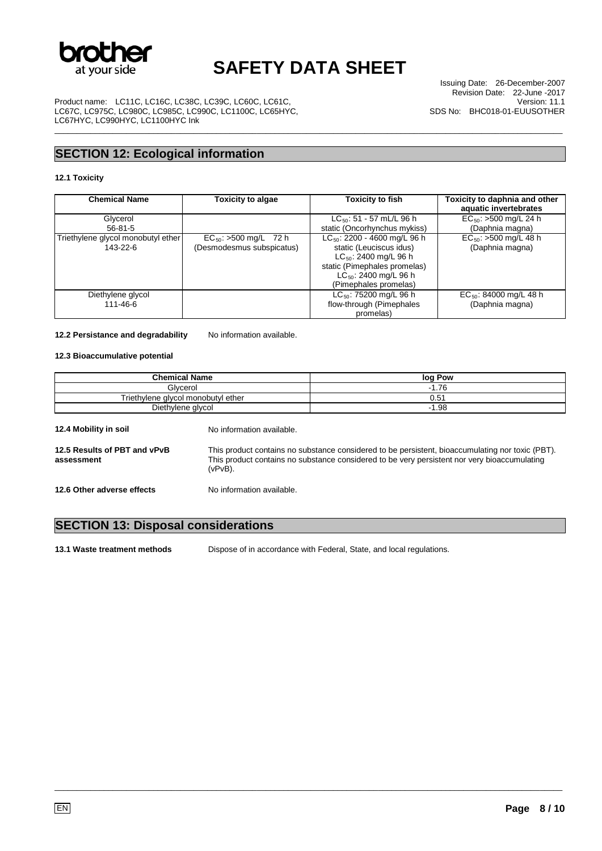

\_\_\_\_\_\_\_\_\_\_\_\_\_\_\_\_\_\_\_\_\_\_\_\_\_\_\_\_\_\_\_\_\_\_\_\_\_\_\_\_\_\_\_\_\_\_\_\_\_\_\_\_\_\_\_\_\_\_\_\_\_\_\_\_\_\_\_\_\_\_\_\_\_\_\_\_\_\_\_\_\_\_\_\_\_\_\_\_\_\_\_\_\_\_\_\_\_\_\_\_\_\_\_\_\_\_\_\_\_\_\_\_\_

Product name: LC11C, LC16C, LC38C, LC39C, LC60C, LC61C, LC67C, LC975C, LC980C, LC985C, LC990C, LC1100C, LC65HYC, LC67HYC, LC990HYC, LC1100HYC Ink

Issuing Date: 26-December-2007 Revision Date: 22-June -2017 Version: 11.1 SDS No: BHC018-01-EUUSOTHER

## **SECTION 12: Ecological information**

#### **12.1 Toxicity**

| <b>Chemical Name</b>               | <b>Toxicity to algae</b>   | <b>Toxicity to fish</b>           | Toxicity to daphnia and other<br>aquatic invertebrates |
|------------------------------------|----------------------------|-----------------------------------|--------------------------------------------------------|
| Glycerol                           |                            | $LC_{50}$ : 51 - 57 mL/L 96 h     | $EC_{50}$ : >500 mg/L 24 h                             |
| $56 - 81 - 5$                      |                            | static (Oncorhynchus mykiss)      | (Daphnia magna)                                        |
| Triethylene glycol monobutyl ether | $EC_{50}$ : >500 mg/L 72 h | $LC_{50}$ : 2200 - 4600 mg/L 96 h | $EC_{50}$ : >500 mg/L 48 h                             |
| 143-22-6                           | (Desmodesmus subspicatus)  | static (Leuciscus idus)           | (Daphnia magna)                                        |
|                                    |                            | $LC_{50}$ : 2400 mg/L 96 h        |                                                        |
|                                    |                            | static (Pimephales promelas)      |                                                        |
|                                    |                            | $LC_{50}$ : 2400 mg/L 96 h        |                                                        |
|                                    |                            | (Pimephales promelas)             |                                                        |
| Diethylene glycol                  |                            | $LC_{50}$ : 75200 mg/L 96 h       | $EC_{50}$ : 84000 mg/L 48 h                            |
| 111-46-6                           |                            | flow-through (Pimephales          | (Daphnia magna)                                        |
|                                    |                            | promelas)                         |                                                        |

#### 12.2 Persistance and degradability No information available.

#### **12.3 Bioaccumulative potential**

| <b>Chemical Name</b>                       |                           | log Pow                                                                                                                                                                                          |  |
|--------------------------------------------|---------------------------|--------------------------------------------------------------------------------------------------------------------------------------------------------------------------------------------------|--|
| Glycerol                                   |                           | $-1.76$                                                                                                                                                                                          |  |
| Triethylene glycol monobutyl ether         |                           | 0.51                                                                                                                                                                                             |  |
| Diethylene glycol                          |                           | $-1.98$                                                                                                                                                                                          |  |
| 12.4 Mobility in soil                      | No information available. |                                                                                                                                                                                                  |  |
| 12.5 Results of PBT and vPvB<br>assessment | $(vPvB)$ .                | This product contains no substance considered to be persistent, bioaccumulating nor toxic (PBT).<br>This product contains no substance considered to be very persistent nor very bioaccumulating |  |
| 12.6 Other adverse effects                 | No information available. |                                                                                                                                                                                                  |  |

### **SECTION 13: Disposal considerations**

**13.1 Waste treatment methods** Dispose of in accordance with Federal, State, and local regulations.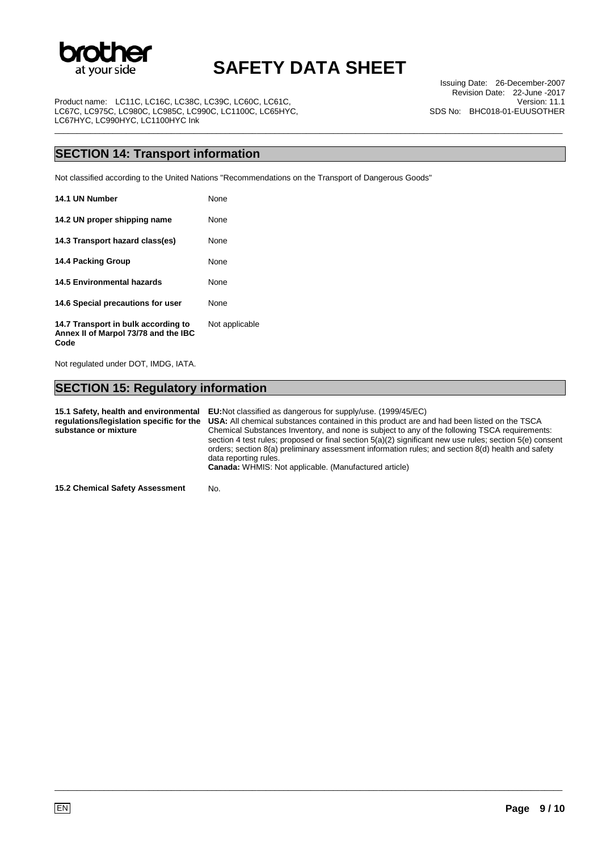

\_\_\_\_\_\_\_\_\_\_\_\_\_\_\_\_\_\_\_\_\_\_\_\_\_\_\_\_\_\_\_\_\_\_\_\_\_\_\_\_\_\_\_\_\_\_\_\_\_\_\_\_\_\_\_\_\_\_\_\_\_\_\_\_\_\_\_\_\_\_\_\_\_\_\_\_\_\_\_\_\_\_\_\_\_\_\_\_\_\_\_\_\_\_\_\_\_\_\_\_\_\_\_\_\_\_\_\_\_\_\_\_\_

Issuing Date: 26-December-2007 Revision Date: 22-June -2017 Version: 11.1 SDS No: BHC018-01-EUUSOTHER

Product name: LC11C, LC16C, LC38C, LC39C, LC60C, LC61C, LC67C, LC975C, LC980C, LC985C, LC990C, LC1100C, LC65HYC, LC67HYC, LC990HYC, LC1100HYC Ink

### **SECTION 14: Transport information**

Not classified according to the United Nations "Recommendations on the Transport of Dangerous Goods"

| 14.1 UN Number                                                                      | None           |
|-------------------------------------------------------------------------------------|----------------|
| 14.2 UN proper shipping name                                                        | None           |
| 14.3 Transport hazard class(es)                                                     | <b>None</b>    |
| 14.4 Packing Group                                                                  | <b>None</b>    |
| 14.5 Environmental hazards                                                          | <b>None</b>    |
| 14.6 Special precautions for user                                                   | None           |
| 14.7 Transport in bulk according to<br>Annex II of Marpol 73/78 and the IBC<br>Code | Not applicable |

Not regulated under DOT, IMDG, IATA.

## **SECTION 15: Regulatory information**

**15.1 Safety, health and environmental regulations/legislation specific for the substance or mixture EU:**Not classified as dangerous for supply/use. (1999/45/EC) **USA:** All chemical substances contained in this product are and had been listed on the TSCA Chemical Substances Inventory, and none is subject to any of the following TSCA requirements: section 4 test rules; proposed or final section 5(a)(2) significant new use rules; section 5(e) consent orders; section 8(a) preliminary assessment information rules; and section 8(d) health and safety data reporting rules. **Canada:** WHMIS: Not applicable. (Manufactured article)

\_\_\_\_\_\_\_\_\_\_\_\_\_\_\_\_\_\_\_\_\_\_\_\_\_\_\_\_\_\_\_\_\_\_\_\_\_\_\_\_\_\_\_\_\_\_\_\_\_\_\_\_\_\_\_\_\_\_\_\_\_\_\_\_\_\_\_\_\_\_\_\_\_\_\_\_\_\_\_\_\_\_\_\_\_\_\_\_\_\_\_\_\_\_\_\_\_\_\_\_\_\_\_\_\_\_\_\_\_\_\_\_\_

**15.2 Chemical Safety Assessment** No.